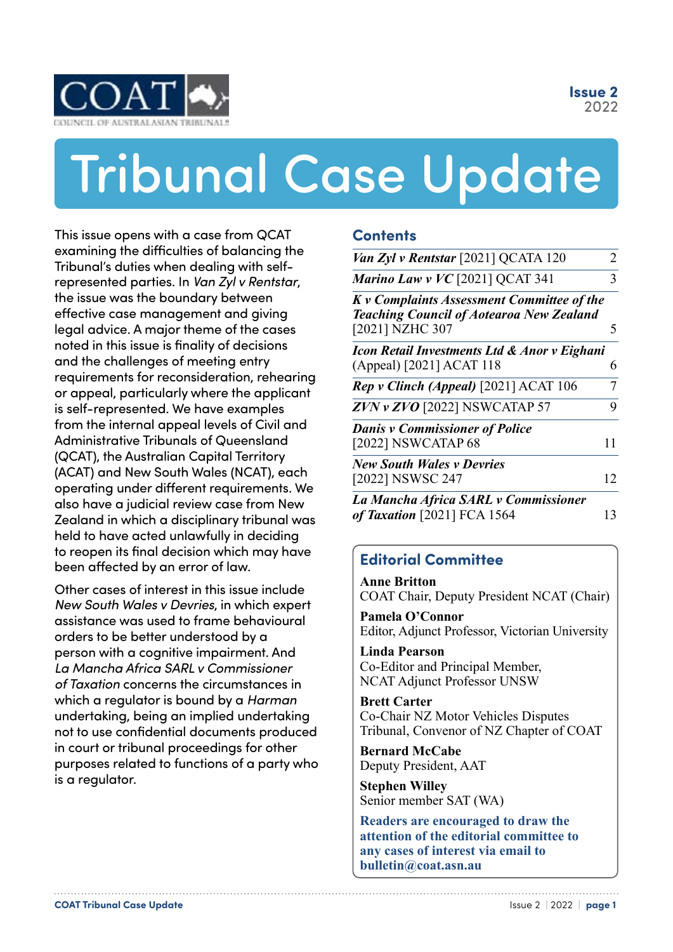**Issue 2** 2022

<span id="page-0-0"></span>

# **REGISTER OF AUSTRALASIAN TRIBUNALS** Tribunal Case Update

the issue was the boundary between  $\bm{K} \bm{v}$ effective case management and giving **The COAT A**<br>Execute that are not that are not not been assessed as a second to the north and that are not to the north and t and the challenges of meeting entry  $\rm (Ap)$ requirements for reconsideration, rehearing is self-represented. We have examples  $\overline{\phantom{a}}$ Administrative Tribunals of Queensland (ACAT) and New South Wales (NCAT), each **Phone: +61 418 281 116** This issue opens with a case from QCAT examining the difficulties of balancing the Tribunal's duties when dealing with selfrepresented parties. In *Van Zyl v Rentstar*, legal advice. A major theme of the cases noted in this issue is finality of decisions or appeal, particularly where the applicant from the internal appeal levels of Civil and (QCAT), the Australian Capital Territory operating under different requirements. We also have a judicial review case from New Zealand in which a disciplinary tribunal was held to have acted unlawfully in deciding to reopen its final decision which may have been affected by an error of law.

> Other cases of interest in this issue include  $\begin{bmatrix} \mathbf{A}^T \\ \mathbf{C}^T \end{bmatrix}$ *New South Wales v Devries*, in which expert assistance was used to frame behavioural orders to be better understood by a person with a cognitive impairment. And *La Mancha Africa SARL v Commissioner of Taxation* concerns the circumstances in which a regulator is bound by a *Harman* undertaking, being an implied undertaking not to use confidential documents produced in court or tribunal proceedings for other purposes related to functions of a party who is a regulator.

#### **Contents**

| Van Zyl v Rentstar [2021] QCATA 120                                                                              | $\mathcal{D}_{\cdot}$ |
|------------------------------------------------------------------------------------------------------------------|-----------------------|
| Marino Law v $VC$ [2021] QCAT 341                                                                                | 3                     |
| K v Complaints Assessment Committee of the<br><b>Teaching Council of Aotearoa New Zealand</b><br>[2021] NZHC 307 | 5                     |
| Icon Retail Investments Ltd & Anor v Eighani<br>(Appeal) [2021] ACAT 118                                         | 6                     |
| Rep v Clinch (Appeal) [2021] ACAT 106                                                                            | 7                     |
| $ZVN$ v $ZVO$ [2022] NSWCATAP 57                                                                                 | 9                     |
| <b>Danis v Commissioner of Police</b><br>[2022] NSWCATAP 68                                                      | 11                    |
| <b>New South Wales v Devries</b><br>[2022] NSWSC 247                                                             | 12                    |
| La Mancha Africa SARL v Commissioner                                                                             |                       |

*of Taxation* [\[2021\] FCA 1564](#page-12-0) 13

### **Editorial Committee**

**Anne Britton** COAT Chair, Deputy President NCAT (Chair)

**Pamela O'Connor** Editor, Adjunct Professor, Victorian University

**Linda Pearson** Co-Editor and Principal Member, NCAT Adjunct Professor UNSW

**Brett Carter** Co-Chair NZ Motor Vehicles Disputes Tribunal, Convenor of NZ Chapter of COAT

**Bernard McCabe** Deputy President, AAT

**Stephen Willey** Senior member SAT (WA)

**Readers are encouraged to draw the attention of the editorial committee to any cases of interest via email to bulletin@coat.asn.au**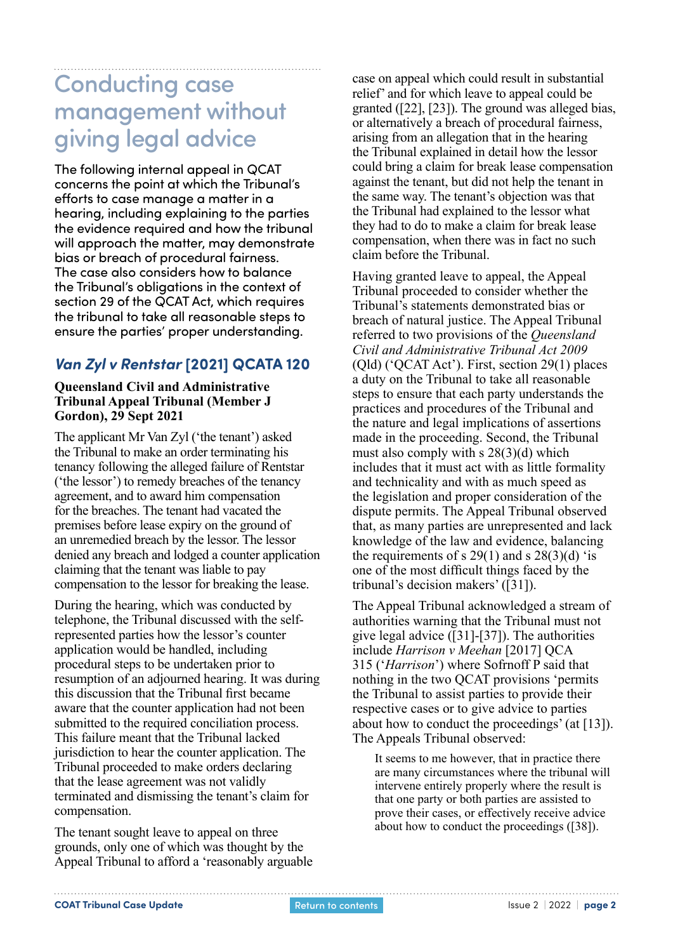## <span id="page-1-0"></span>Conducting case management without giving legal advice

The following internal appeal in QCAT concerns the point at which the Tribunal's efforts to case manage a matter in a hearing, including explaining to the parties the evidence required and how the tribunal will approach the matter, may demonstrate bias or breach of procedural fairness. The case also considers how to balance the Tribunal's obligations in the context of section 29 of the QCAT Act, which requires the tribunal to take all reasonable steps to ensure the parties' proper understanding.

### *Van Zyl v Rentstar* **[2021] QCATA 120**

#### **Queensland Civil and Administrative Tribunal Appeal Tribunal (Member J Gordon), 29 Sept 2021**

The applicant Mr Van Zyl ('the tenant') asked the Tribunal to make an order terminating his tenancy following the alleged failure of Rentstar ('the lessor') to remedy breaches of the tenancy agreement, and to award him compensation for the breaches. The tenant had vacated the premises before lease expiry on the ground of an unremedied breach by the lessor. The lessor denied any breach and lodged a counter application claiming that the tenant was liable to pay compensation to the lessor for breaking the lease.

During the hearing, which was conducted by telephone, the Tribunal discussed with the selfrepresented parties how the lessor's counter application would be handled, including procedural steps to be undertaken prior to resumption of an adjourned hearing. It was during this discussion that the Tribunal first became aware that the counter application had not been submitted to the required conciliation process. This failure meant that the Tribunal lacked jurisdiction to hear the counter application. The Tribunal proceeded to make orders declaring that the lease agreement was not validly terminated and dismissing the tenant's claim for compensation.

The tenant sought leave to appeal on three grounds, only one of which was thought by the Appeal Tribunal to afford a 'reasonably arguable case on appeal which could result in substantial relief' and for which leave to appeal could be granted ([22], [23]). The ground was alleged bias, or alternatively a breach of procedural fairness, arising from an allegation that in the hearing the Tribunal explained in detail how the lessor could bring a claim for break lease compensation against the tenant, but did not help the tenant in the same way. The tenant's objection was that the Tribunal had explained to the lessor what they had to do to make a claim for break lease compensation, when there was in fact no such claim before the Tribunal.

Having granted leave to appeal, the Appeal Tribunal proceeded to consider whether the Tribunal's statements demonstrated bias or breach of natural justice. The Appeal Tribunal referred to two provisions of the *Queensland Civil and Administrative Tribunal Act 2009* (Qld) ('QCAT Act'). First, section 29(1) places a duty on the Tribunal to take all reasonable steps to ensure that each party understands the practices and procedures of the Tribunal and the nature and legal implications of assertions made in the proceeding. Second, the Tribunal must also comply with s 28(3)(d) which includes that it must act with as little formality and technicality and with as much speed as the legislation and proper consideration of the dispute permits. The Appeal Tribunal observed that, as many parties are unrepresented and lack knowledge of the law and evidence, balancing the requirements of s  $29(1)$  and s  $28(3)(d)$  'is one of the most difficult things faced by the tribunal's decision makers' ([31]).

The Appeal Tribunal acknowledged a stream of authorities warning that the Tribunal must not give legal advice ([31]-[37]). The authorities include *Harrison v Meehan* [2017] QCA 315 ('*Harrison*') where Sofrnoff P said that nothing in the two QCAT provisions 'permits the Tribunal to assist parties to provide their respective cases or to give advice to parties about how to conduct the proceedings' (at [13]). The Appeals Tribunal observed:

It seems to me however, that in practice there are many circumstances where the tribunal will intervene entirely properly where the result is that one party or both parties are assisted to prove their cases, or effectively receive advice about how to conduct the proceedings ([38]).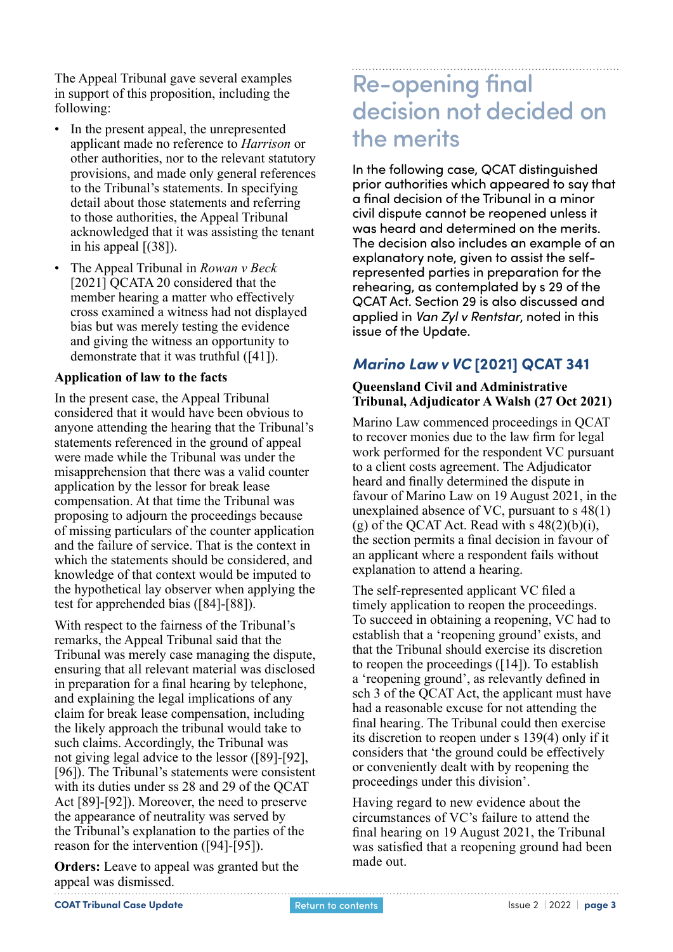<span id="page-2-0"></span>The Appeal Tribunal gave several examples in support of this proposition, including the following:

- In the present appeal, the unrepresented applicant made no reference to *Harrison* or other authorities, nor to the relevant statutory provisions, and made only general references to the Tribunal's statements. In specifying detail about those statements and referring to those authorities, the Appeal Tribunal acknowledged that it was assisting the tenant in his appeal [(38]).
- The Appeal Tribunal in *Rowan v Beck* [2021] QCATA 20 considered that the member hearing a matter who effectively cross examined a witness had not displayed bias but was merely testing the evidence and giving the witness an opportunity to demonstrate that it was truthful ([41]).

#### **Application of law to the facts**

In the present case, the Appeal Tribunal considered that it would have been obvious to anyone attending the hearing that the Tribunal's statements referenced in the ground of appeal were made while the Tribunal was under the misapprehension that there was a valid counter application by the lessor for break lease compensation. At that time the Tribunal was proposing to adjourn the proceedings because of missing particulars of the counter application and the failure of service. That is the context in which the statements should be considered, and knowledge of that context would be imputed to the hypothetical lay observer when applying the test for apprehended bias ([84]-[88]).

With respect to the fairness of the Tribunal's remarks, the Appeal Tribunal said that the Tribunal was merely case managing the dispute, ensuring that all relevant material was disclosed in preparation for a final hearing by telephone, and explaining the legal implications of any claim for break lease compensation, including the likely approach the tribunal would take to such claims. Accordingly, the Tribunal was not giving legal advice to the lessor ([89]-[92], [96]). The Tribunal's statements were consistent with its duties under ss 28 and 29 of the OCAT Act [89]-[92]). Moreover, the need to preserve the appearance of neutrality was served by the Tribunal's explanation to the parties of the reason for the intervention ([94]-[95]).

**Orders:** Leave to appeal was granted but the appeal was dismissed.

## Re-opening final decision not decided on the merits

In the following case, QCAT distinguished prior authorities which appeared to say that a final decision of the Tribunal in a minor civil dispute cannot be reopened unless it was heard and determined on the merits. The decision also includes an example of an explanatory note, given to assist the selfrepresented parties in preparation for the rehearing, as contemplated by s 29 of the QCAT Act. Section 29 is also discussed and applied in *Van Zyl v Rentstar*, noted in this issue of the Update.

## *Marino Law v VC* **[2021] QCAT 341**

#### **Queensland Civil and Administrative Tribunal, Adjudicator A Walsh (27 Oct 2021)**

Marino Law commenced proceedings in QCAT to recover monies due to the law firm for legal work performed for the respondent VC pursuant to a client costs agreement. The Adjudicator heard and finally determined the dispute in favour of Marino Law on 19 August 2021, in the unexplained absence of VC, pursuant to s 48(1) (g) of the QCAT Act. Read with s  $48(2)(b)(i)$ , the section permits a final decision in favour of an applicant where a respondent fails without explanation to attend a hearing.

The self-represented applicant VC filed a timely application to reopen the proceedings. To succeed in obtaining a reopening, VC had to establish that a 'reopening ground' exists, and that the Tribunal should exercise its discretion to reopen the proceedings ([14]). To establish a 'reopening ground', as relevantly defined in sch 3 of the QCAT Act, the applicant must have had a reasonable excuse for not attending the final hearing. The Tribunal could then exercise its discretion to reopen under s 139(4) only if it considers that 'the ground could be effectively or conveniently dealt with by reopening the proceedings under this division'.

Having regard to new evidence about the circumstances of VC's failure to attend the final hearing on 19 August 2021, the Tribunal was satisfied that a reopening ground had been made out.

**COAT Tribunal Case Update Issue 2 | 2022 | page 3 Return to contents <b>ISSUE 2 | 2022 | page 3**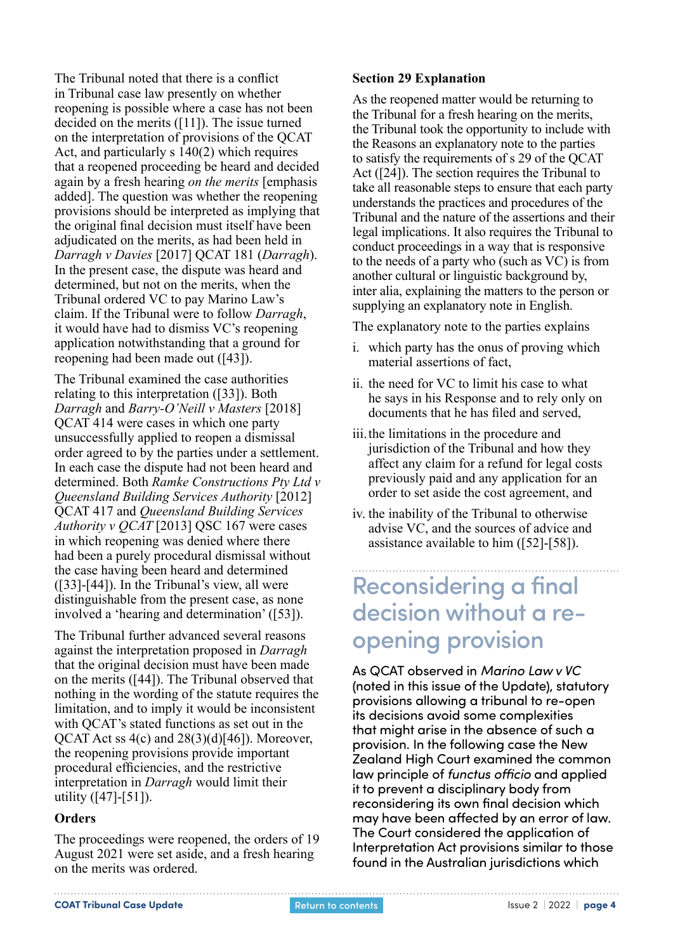The Tribunal noted that there is a conflict in Tribunal case law presently on whether reopening is possible where a case has not been decided on the merits ([11]). The issue turned on the interpretation of provisions of the QCAT Act, and particularly s 140(2) which requires that a reopened proceeding be heard and decided again by a fresh hearing *on the merits* [emphasis added]. The question was whether the reopening provisions should be interpreted as implying that the original final decision must itself have been adjudicated on the merits, as had been held in *Darragh v Davies* [2017] QCAT 181 (*Darragh*). In the present case, the dispute was heard and determined, but not on the merits, when the Tribunal ordered VC to pay Marino Law's claim. If the Tribunal were to follow *Darragh*, it would have had to dismiss VC's reopening application notwithstanding that a ground for reopening had been made out ([43]).

The Tribunal examined the case authorities relating to this interpretation ([33]). Both *Darragh* and *Barry-O'Neill v Masters* [2018] QCAT 414 were cases in which one party unsuccessfully applied to reopen a dismissal order agreed to by the parties under a settlement. In each case the dispute had not been heard and determined. Both *Ramke Constructions Pty Ltd v Queensland Building Services Authority* [2012] QCAT 417 and *Queensland Building Services Authority v QCAT* [2013] QSC 167 were cases in which reopening was denied where there had been a purely procedural dismissal without the case having been heard and determined ([33]-[44]). In the Tribunal's view, all were distinguishable from the present case, as none involved a 'hearing and determination' ([53]).

The Tribunal further advanced several reasons against the interpretation proposed in *Darragh* that the original decision must have been made on the merits ([44]). The Tribunal observed that nothing in the wording of the statute requires the limitation, and to imply it would be inconsistent with QCAT's stated functions as set out in the QCAT Act ss 4(c) and 28(3)(d)[46]). Moreover, the reopening provisions provide important procedural efficiencies, and the restrictive interpretation in *Darragh* would limit their utility ([47]-[51]).

#### **Orders**

The proceedings were reopened, the orders of 19 August 2021 were set aside, and a fresh hearing on the merits was ordered.

#### **Section 29 Explanation**

As the reopened matter would be returning to the Tribunal for a fresh hearing on the merits, the Tribunal took the opportunity to include with the Reasons an explanatory note to the parties to satisfy the requirements of s 29 of the QCAT Act ([24]). The section requires the Tribunal to take all reasonable steps to ensure that each party understands the practices and procedures of the Tribunal and the nature of the assertions and their legal implications. It also requires the Tribunal to conduct proceedings in a way that is responsive to the needs of a party who (such as VC) is from another cultural or linguistic background by, inter alia, explaining the matters to the person or supplying an explanatory note in English.

The explanatory note to the parties explains

- i. which party has the onus of proving which material assertions of fact,
- ii. the need for VC to limit his case to what he says in his Response and to rely only on documents that he has filed and served,
- iii.the limitations in the procedure and jurisdiction of the Tribunal and how they affect any claim for a refund for legal costs previously paid and any application for an order to set aside the cost agreement, and
- iv. the inability of the Tribunal to otherwise advise VC, and the sources of advice and assistance available to him ([52]-[58]).

## Reconsidering a final decision without a reopening provision

As QCAT observed in *Marino Law v VC* (noted in this issue of the Update), statutory provisions allowing a tribunal to re-open its decisions avoid some complexities that might arise in the absence of such a provision. In the following case the New Zealand High Court examined the common law principle of *functus officio* and applied it to prevent a disciplinary body from reconsidering its own final decision which may have been affected by an error of law. The Court considered the application of Interpretation Act provisions similar to those found in the Australian jurisdictions which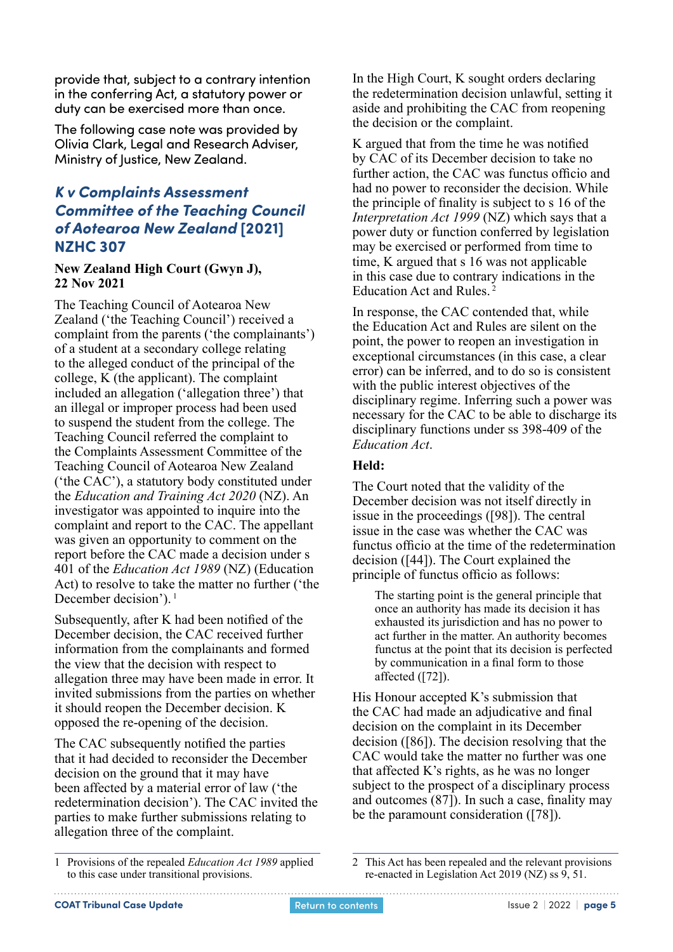<span id="page-4-0"></span>provide that, subject to a contrary intention in the conferring Act, a statutory power or duty can be exercised more than once.

The following case note was provided by Olivia Clark, Legal and Research Adviser, Ministry of Justice, New Zealand.

### *K v Complaints Assessment Committee of the Teaching Council of Aotearoa New Zealand* **[2021] NZHC 307**

#### **New Zealand High Court (Gwyn J), 22 Nov 2021**

The Teaching Council of Aotearoa New Zealand ('the Teaching Council') received a complaint from the parents ('the complainants') of a student at a secondary college relating to the alleged conduct of the principal of the college, K (the applicant). The complaint included an allegation ('allegation three') that an illegal or improper process had been used to suspend the student from the college. The Teaching Council referred the complaint to the Complaints Assessment Committee of the Teaching Council of Aotearoa New Zealand ('the CAC'), a statutory body constituted under the *Education and Training Act 2020* (NZ). An investigator was appointed to inquire into the complaint and report to the CAC. The appellant was given an opportunity to comment on the report before the CAC made a decision under s 401 of the *Education Act 1989* (NZ) (Education Act) to resolve to take the matter no further ('the December decision').<sup>1</sup>

Subsequently, after K had been notified of the December decision, the CAC received further information from the complainants and formed the view that the decision with respect to allegation three may have been made in error. It invited submissions from the parties on whether it should reopen the December decision. K opposed the re-opening of the decision.

The CAC subsequently notified the parties that it had decided to reconsider the December decision on the ground that it may have been affected by a material error of law ('the redetermination decision'). The CAC invited the parties to make further submissions relating to allegation three of the complaint.

In the High Court, K sought orders declaring the redetermination decision unlawful, setting it aside and prohibiting the CAC from reopening the decision or the complaint.

K argued that from the time he was notified by CAC of its December decision to take no further action, the CAC was functus officio and had no power to reconsider the decision. While the principle of finality is subject to s 16 of the *Interpretation Act 1999* (NZ) which says that a power duty or function conferred by legislation may be exercised or performed from time to time, K argued that s 16 was not applicable in this case due to contrary indications in the Education Act and Rules. <sup>2</sup>

In response, the CAC contended that, while the Education Act and Rules are silent on the point, the power to reopen an investigation in exceptional circumstances (in this case, a clear error) can be inferred, and to do so is consistent with the public interest objectives of the disciplinary regime. Inferring such a power was necessary for the CAC to be able to discharge its disciplinary functions under ss 398-409 of the *Education Act*.

#### **Held:**

The Court noted that the validity of the December decision was not itself directly in issue in the proceedings ([98]). The central issue in the case was whether the CAC was functus officio at the time of the redetermination decision ([44]). The Court explained the principle of functus officio as follows:

The starting point is the general principle that once an authority has made its decision it has exhausted its jurisdiction and has no power to act further in the matter. An authority becomes functus at the point that its decision is perfected by communication in a final form to those affected  $(72)$ .

His Honour accepted K's submission that the CAC had made an adjudicative and final decision on the complaint in its December decision ([86]). The decision resolving that the CAC would take the matter no further was one that affected K's rights, as he was no longer subject to the prospect of a disciplinary process and outcomes (87]). In such a case, finality may be the paramount consideration ([78]).

<sup>1</sup> Provisions of the repealed *Education Act 1989* applied to this case under transitional provisions.

<sup>2</sup> This Act has been repealed and the relevant provisions re-enacted in Legislation Act 2019 (NZ) ss 9, 51.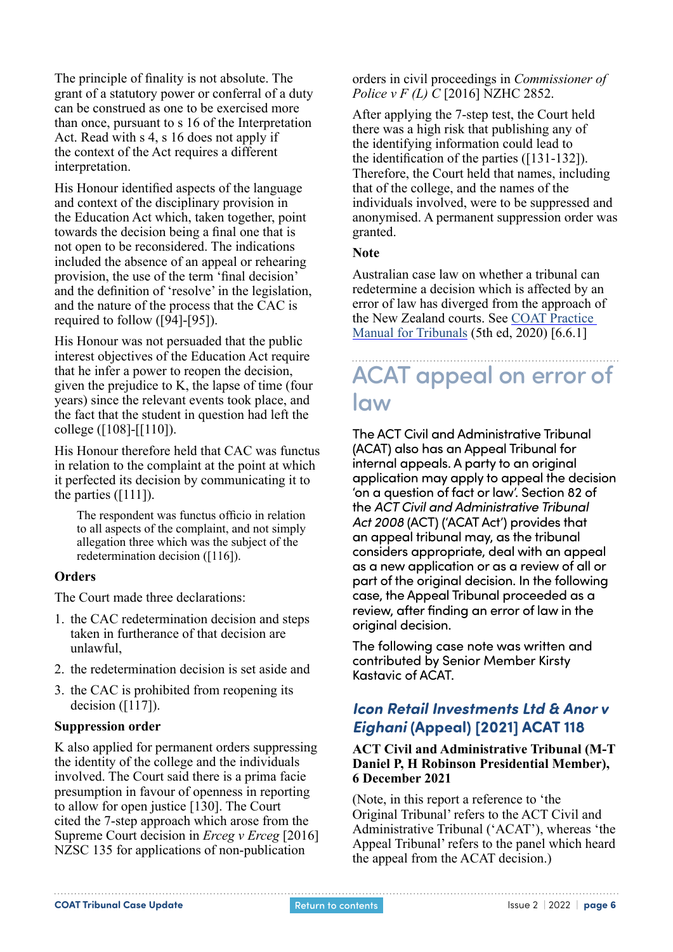<span id="page-5-0"></span>The principle of finality is not absolute. The grant of a statutory power or conferral of a duty can be construed as one to be exercised more than once, pursuant to s 16 of the Interpretation Act. Read with s 4, s 16 does not apply if the context of the Act requires a different interpretation.

His Honour identified aspects of the language and context of the disciplinary provision in the Education Act which, taken together, point towards the decision being a final one that is not open to be reconsidered. The indications included the absence of an appeal or rehearing provision, the use of the term 'final decision' and the definition of 'resolve' in the legislation, and the nature of the process that the CAC is required to follow ([94]-[95]).

His Honour was not persuaded that the public interest objectives of the Education Act require that he infer a power to reopen the decision, given the prejudice to K, the lapse of time (four years) since the relevant events took place, and the fact that the student in question had left the college ([108]-[[110]).

His Honour therefore held that CAC was functus in relation to the complaint at the point at which it perfected its decision by communicating it to the parties ([111]).

The respondent was functus officio in relation to all aspects of the complaint, and not simply allegation three which was the subject of the redetermination decision ([116]).

#### **Orders**

The Court made three declarations:

- 1. the CAC redetermination decision and steps taken in furtherance of that decision are unlawful,
- 2. the redetermination decision is set aside and
- 3. the CAC is prohibited from reopening its decision  $([117])$ .

#### **Suppression order**

K also applied for permanent orders suppressing the identity of the college and the individuals involved. The Court said there is a prima facie presumption in favour of openness in reporting to allow for open justice [130]. The Court cited the 7-step approach which arose from the Supreme Court decision in *Erceg v Erceg* [2016] NZSC 135 for applications of non-publication

orders in civil proceedings in *Commissioner of Police v F (L) C* [2016] NZHC 2852.

After applying the 7-step test, the Court held there was a high risk that publishing any of the identifying information could lead to the identification of the parties ([131-132]). Therefore, the Court held that names, including that of the college, and the names of the individuals involved, were to be suppressed and anonymised. A permanent suppression order was granted.

#### **Note**

Australian case law on whether a tribunal can redetermine a decision which is affected by an error of law has diverged from the approach of the New Zealand courts. See [COAT Practice](https://coat.asn.au/about/practice-manual-for-tribunals/)  [Manual for Tribunals](https://coat.asn.au/about/practice-manual-for-tribunals/) (5th ed, 2020) [6.6.1]

## ACAT appeal on error of law

The ACT Civil and Administrative Tribunal (ACAT) also has an Appeal Tribunal for internal appeals. A party to an original application may apply to appeal the decision 'on a question of fact or law'. Section 82 of the *ACT Civil and Administrative Tribunal Act 2008* (ACT) ('ACAT Act') provides that an appeal tribunal may, as the tribunal considers appropriate, deal with an appeal as a new application or as a review of all or part of the original decision. In the following case, the Appeal Tribunal proceeded as a review, after finding an error of law in the original decision.

The following case note was written and contributed by Senior Member Kirsty Kastavic of ACAT.

### *Icon Retail Investments Ltd & Anor v Eighani* **(Appeal) [2021] ACAT 118**

#### **ACT Civil and Administrative Tribunal (M-T Daniel P, H Robinson Presidential Member), 6 December 2021**

(Note, in this report a reference to 'the Original Tribunal' refers to the ACT Civil and Administrative Tribunal ('ACAT'), whereas 'the Appeal Tribunal' refers to the panel which heard the appeal from the ACAT decision.)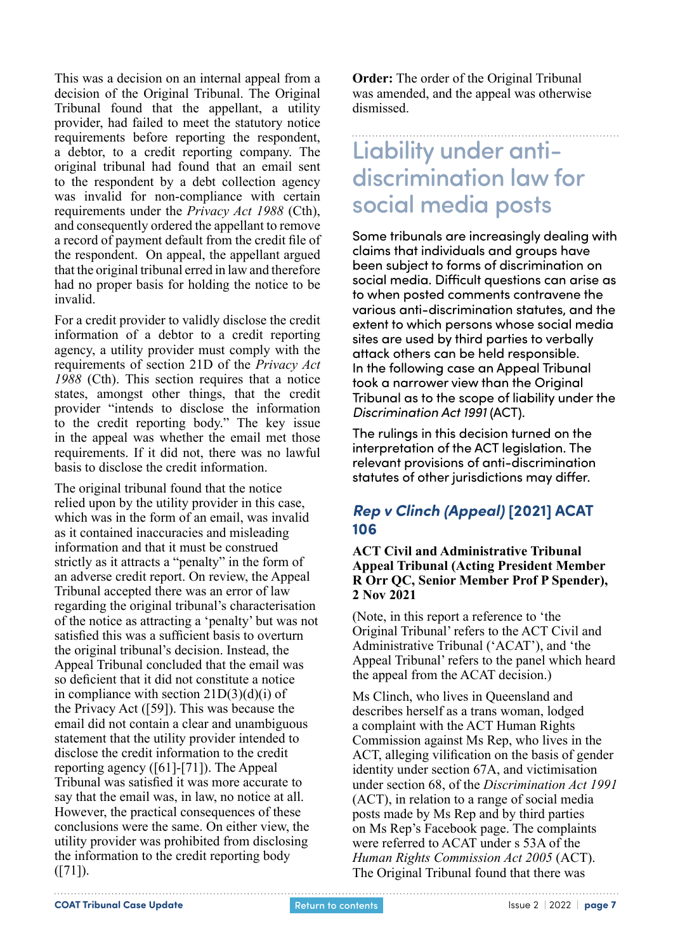<span id="page-6-0"></span>This was a decision on an internal appeal from a decision of the Original Tribunal. The Original Tribunal found that the appellant, a utility provider, had failed to meet the statutory notice requirements before reporting the respondent, a debtor, to a credit reporting company. The original tribunal had found that an email sent to the respondent by a debt collection agency was invalid for non-compliance with certain requirements under the *Privacy Act 1988* (Cth), and consequently ordered the appellant to remove a record of payment default from the credit file of the respondent. On appeal, the appellant argued that the original tribunal erred in law and therefore had no proper basis for holding the notice to be invalid.

For a credit provider to validly disclose the credit information of a debtor to a credit reporting agency, a utility provider must comply with the requirements of section 21D of the *Privacy Act 1988* (Cth). This section requires that a notice states, amongst other things, that the credit provider "intends to disclose the information to the credit reporting body." The key issue in the appeal was whether the email met those requirements. If it did not, there was no lawful basis to disclose the credit information.

The original tribunal found that the notice relied upon by the utility provider in this case, which was in the form of an email, was invalid as it contained inaccuracies and misleading information and that it must be construed strictly as it attracts a "penalty" in the form of an adverse credit report. On review, the Appeal Tribunal accepted there was an error of law regarding the original tribunal's characterisation of the notice as attracting a 'penalty' but was not satisfied this was a sufficient basis to overturn the original tribunal's decision. Instead, the Appeal Tribunal concluded that the email was so deficient that it did not constitute a notice in compliance with section 21D(3)(d)(i) of the Privacy Act ([59]). This was because the email did not contain a clear and unambiguous statement that the utility provider intended to disclose the credit information to the credit reporting agency ([61]-[71]). The Appeal Tribunal was satisfied it was more accurate to say that the email was, in law, no notice at all. However, the practical consequences of these conclusions were the same. On either view, the utility provider was prohibited from disclosing the information to the credit reporting body  $([71])$ .

**Order:** The order of the Original Tribunal was amended, and the appeal was otherwise dismissed.

## Liability under antidiscrimination law for social media posts

Some tribunals are increasingly dealing with claims that individuals and groups have been subject to forms of discrimination on social media. Difficult questions can arise as to when posted comments contravene the various anti-discrimination statutes, and the extent to which persons whose social media sites are used by third parties to verbally attack others can be held responsible. In the following case an Appeal Tribunal took a narrower view than the Original Tribunal as to the scope of liability under the *Discrimination Act 1991* (ACT).

The rulings in this decision turned on the interpretation of the ACT legislation. The relevant provisions of anti-discrimination statutes of other jurisdictions may differ.

### *Rep v Clinch (Appeal)* **[2021] ACAT 106**

#### **ACT Civil and Administrative Tribunal Appeal Tribunal (Acting President Member R Orr QC, Senior Member Prof P Spender), 2 Nov 2021**

(Note, in this report a reference to 'the Original Tribunal' refers to the ACT Civil and Administrative Tribunal ('ACAT'), and 'the Appeal Tribunal' refers to the panel which heard the appeal from the ACAT decision.)

Ms Clinch, who lives in Queensland and describes herself as a trans woman, lodged a complaint with the ACT Human Rights Commission against Ms Rep, who lives in the ACT, alleging vilification on the basis of gender identity under section 67A, and victimisation under section 68, of the *Discrimination Act 1991*  (ACT), in relation to a range of social media posts made by Ms Rep and by third parties on Ms Rep's Facebook page. The complaints were referred to ACAT under s 53A of the *Human Rights Commission Act 2005* (ACT). The Original Tribunal found that there was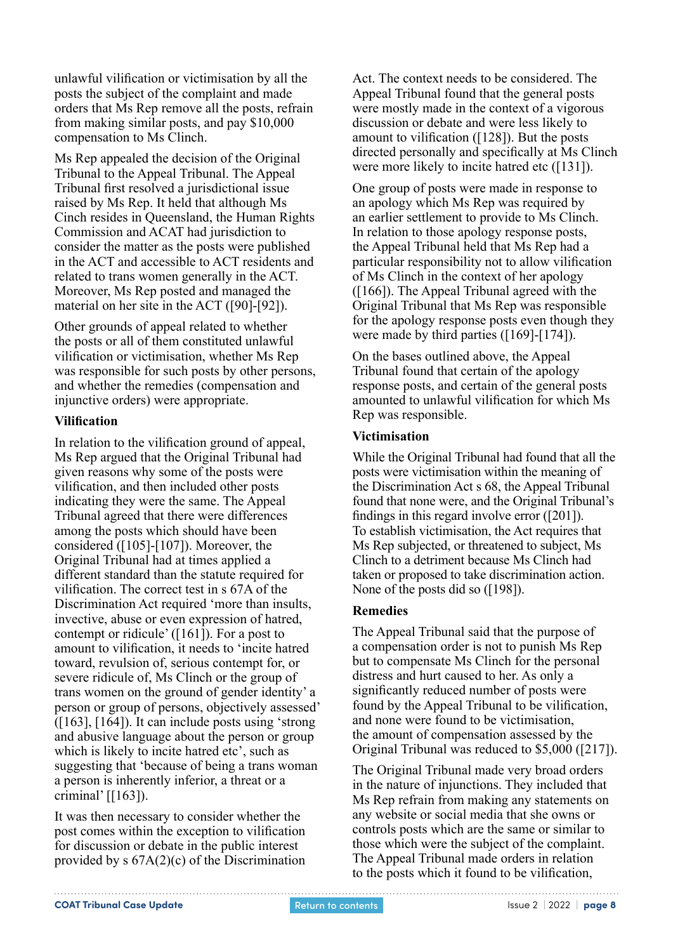unlawful vilification or victimisation by all the posts the subject of the complaint and made orders that Ms Rep remove all the posts, refrain from making similar posts, and pay \$10,000 compensation to Ms Clinch.

Ms Rep appealed the decision of the Original Tribunal to the Appeal Tribunal. The Appeal Tribunal first resolved a jurisdictional issue raised by Ms Rep. It held that although Ms Cinch resides in Queensland, the Human Rights Commission and ACAT had jurisdiction to consider the matter as the posts were published in the ACT and accessible to ACT residents and related to trans women generally in the ACT. Moreover, Ms Rep posted and managed the material on her site in the ACT ([90]-[92]).

Other grounds of appeal related to whether the posts or all of them constituted unlawful vilification or victimisation, whether Ms Rep was responsible for such posts by other persons, and whether the remedies (compensation and injunctive orders) were appropriate.

#### **Vilification**

In relation to the vilification ground of appeal, Ms Rep argued that the Original Tribunal had given reasons why some of the posts were vilification, and then included other posts indicating they were the same. The Appeal Tribunal agreed that there were differences among the posts which should have been considered ([105]-[107]). Moreover, the Original Tribunal had at times applied a different standard than the statute required for vilification. The correct test in s 67A of the Discrimination Act required 'more than insults, invective, abuse or even expression of hatred, contempt or ridicule' ([161]). For a post to amount to vilification, it needs to 'incite hatred toward, revulsion of, serious contempt for, or severe ridicule of, Ms Clinch or the group of trans women on the ground of gender identity' a person or group of persons, objectively assessed' ([163], [164]). It can include posts using 'strong and abusive language about the person or group which is likely to incite hatred etc', such as suggesting that 'because of being a trans woman a person is inherently inferior, a threat or a criminal' [[163]).

It was then necessary to consider whether the post comes within the exception to vilification for discussion or debate in the public interest provided by s 67A(2)(c) of the Discrimination

Act. The context needs to be considered. The Appeal Tribunal found that the general posts were mostly made in the context of a vigorous discussion or debate and were less likely to amount to vilification ([128]). But the posts directed personally and specifically at Ms Clinch were more likely to incite hatred etc ([131]).

One group of posts were made in response to an apology which Ms Rep was required by an earlier settlement to provide to Ms Clinch. In relation to those apology response posts, the Appeal Tribunal held that Ms Rep had a particular responsibility not to allow vilification of Ms Clinch in the context of her apology ([166]). The Appeal Tribunal agreed with the Original Tribunal that Ms Rep was responsible for the apology response posts even though they were made by third parties ([169]-[174]).

On the bases outlined above, the Appeal Tribunal found that certain of the apology response posts, and certain of the general posts amounted to unlawful vilification for which Ms Rep was responsible.

#### **Victimisation**

While the Original Tribunal had found that all the posts were victimisation within the meaning of the Discrimination Act s 68, the Appeal Tribunal found that none were, and the Original Tribunal's findings in this regard involve error ([201]). To establish victimisation, the Act requires that Ms Rep subjected, or threatened to subject, Ms Clinch to a detriment because Ms Clinch had taken or proposed to take discrimination action. None of the posts did so ([198]).

#### **Remedies**

The Appeal Tribunal said that the purpose of a compensation order is not to punish Ms Rep but to compensate Ms Clinch for the personal distress and hurt caused to her. As only a significantly reduced number of posts were found by the Appeal Tribunal to be vilification, and none were found to be victimisation, the amount of compensation assessed by the Original Tribunal was reduced to \$5,000 ([217]).

The Original Tribunal made very broad orders in the nature of injunctions. They included that Ms Rep refrain from making any statements on any website or social media that she owns or controls posts which are the same or similar to those which were the subject of the complaint. The Appeal Tribunal made orders in relation to the posts which it found to be vilification,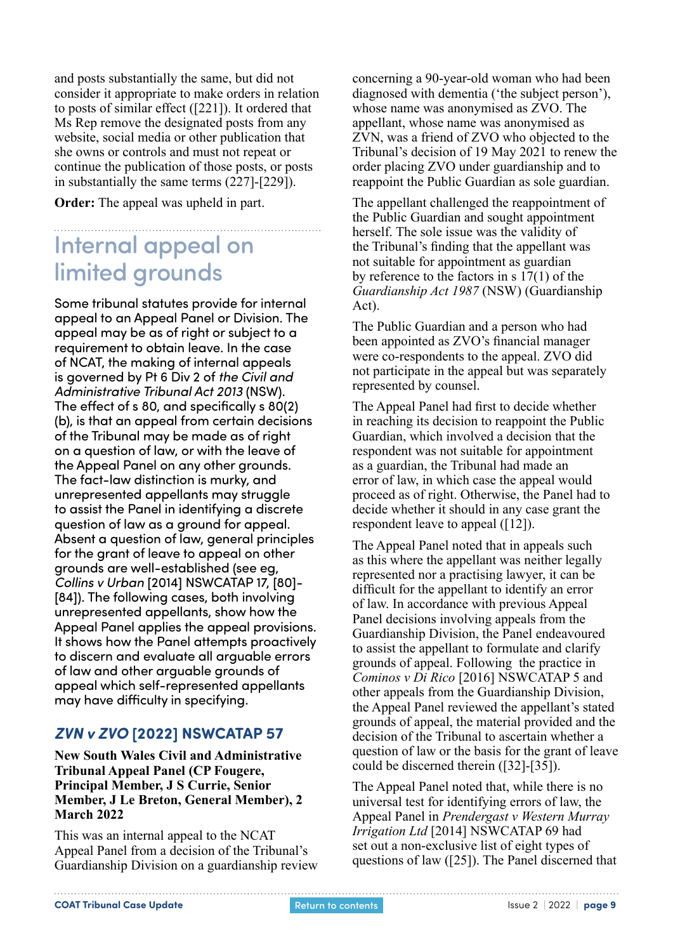<span id="page-8-0"></span>and posts substantially the same, but did not consider it appropriate to make orders in relation to posts of similar effect ([221]). It ordered that Ms Rep remove the designated posts from any website, social media or other publication that she owns or controls and must not repeat or continue the publication of those posts, or posts in substantially the same terms (227]-[229]).

**Order:** The appeal was upheld in part.

## Internal appeal on limited grounds

Some tribunal statutes provide for internal appeal to an Appeal Panel or Division. The appeal may be as of right or subject to a requirement to obtain leave. In the case of NCAT, the making of internal appeals is governed by Pt 6 Div 2 of *the Civil and Administrative Tribunal Act 2013* (NSW). The effect of s 80, and specifically s 80(2) (b), is that an appeal from certain decisions of the Tribunal may be made as of right on a question of law, or with the leave of the Appeal Panel on any other grounds. The fact-law distinction is murky, and unrepresented appellants may struggle to assist the Panel in identifying a discrete question of law as a ground for appeal. Absent a question of law, general principles for the grant of leave to appeal on other grounds are well-established (see eg, *Collins v Urban* [2014] NSWCATAP 17, [80]- [84]). The following cases, both involving unrepresented appellants, show how the Appeal Panel applies the appeal provisions. It shows how the Panel attempts proactively to discern and evaluate all arguable errors of law and other arguable grounds of appeal which self-represented appellants may have difficulty in specifying.

### *ZVN v ZVO* **[2022] NSWCATAP 57**

**New South Wales Civil and Administrative Tribunal Appeal Panel (CP Fougere, Principal Member, J S Currie, Senior Member, J Le Breton, General Member), 2 March 2022**

This was an internal appeal to the NCAT Appeal Panel from a decision of the Tribunal's Guardianship Division on a guardianship review concerning a 90-year-old woman who had been diagnosed with dementia ('the subject person'), whose name was anonymised as ZVO. The appellant, whose name was anonymised as ZVN, was a friend of ZVO who objected to the Tribunal's decision of 19 May 2021 to renew the order placing ZVO under guardianship and to reappoint the Public Guardian as sole guardian.

The appellant challenged the reappointment of the Public Guardian and sought appointment herself. The sole issue was the validity of the Tribunal's finding that the appellant was not suitable for appointment as guardian by reference to the factors in s 17(1) of the *Guardianship Act 1987* (NSW) (Guardianship Act).

The Public Guardian and a person who had been appointed as ZVO's financial manager were co-respondents to the appeal. ZVO did not participate in the appeal but was separately represented by counsel.

The Appeal Panel had first to decide whether in reaching its decision to reappoint the Public Guardian, which involved a decision that the respondent was not suitable for appointment as a guardian, the Tribunal had made an error of law, in which case the appeal would proceed as of right. Otherwise, the Panel had to decide whether it should in any case grant the respondent leave to appeal ([12]).

The Appeal Panel noted that in appeals such as this where the appellant was neither legally represented nor a practising lawyer, it can be difficult for the appellant to identify an error of law. In accordance with previous Appeal Panel decisions involving appeals from the Guardianship Division, the Panel endeavoured to assist the appellant to formulate and clarify grounds of appeal. Following the practice in *Cominos v Di Rico* [2016] NSWCATAP 5 and other appeals from the Guardianship Division, the Appeal Panel reviewed the appellant's stated grounds of appeal, the material provided and the decision of the Tribunal to ascertain whether a question of law or the basis for the grant of leave could be discerned therein ([32]-[35]).

The Appeal Panel noted that, while there is no universal test for identifying errors of law, the Appeal Panel in *Prendergast v Western Murray Irrigation Ltd* [2014] NSWCATAP 69 had set out a non-exclusive list of eight types of questions of law ([25]). The Panel discerned that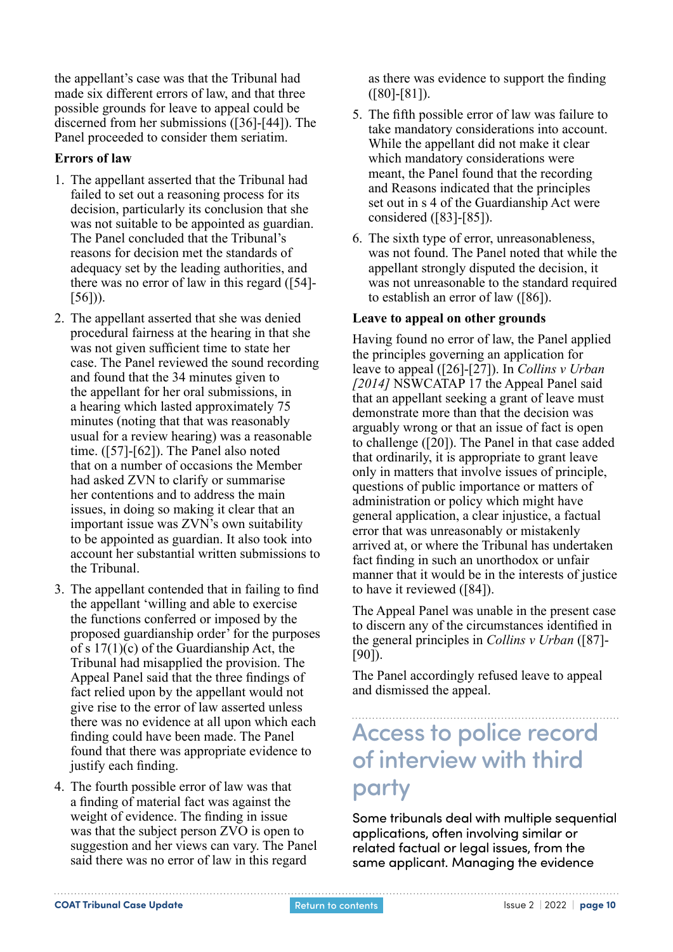the appellant's case was that the Tribunal had made six different errors of law, and that three possible grounds for leave to appeal could be discerned from her submissions ([36]-[44]). The Panel proceeded to consider them seriatim.

#### **Errors of law**

- 1. The appellant asserted that the Tribunal had failed to set out a reasoning process for its decision, particularly its conclusion that she was not suitable to be appointed as guardian. The Panel concluded that the Tribunal's reasons for decision met the standards of adequacy set by the leading authorities, and there was no error of law in this regard ([54]-  $[56]$ ).
- 2. The appellant asserted that she was denied procedural fairness at the hearing in that she was not given sufficient time to state her case. The Panel reviewed the sound recording and found that the 34 minutes given to the appellant for her oral submissions, in a hearing which lasted approximately 75 minutes (noting that that was reasonably usual for a review hearing) was a reasonable time. ([57]-[62]). The Panel also noted that on a number of occasions the Member had asked ZVN to clarify or summarise her contentions and to address the main issues, in doing so making it clear that an important issue was ZVN's own suitability to be appointed as guardian. It also took into account her substantial written submissions to the Tribunal.
- 3. The appellant contended that in failing to find the appellant 'willing and able to exercise the functions conferred or imposed by the proposed guardianship order' for the purposes of s 17(1)(c) of the Guardianship Act, the Tribunal had misapplied the provision. The Appeal Panel said that the three findings of fact relied upon by the appellant would not give rise to the error of law asserted unless there was no evidence at all upon which each finding could have been made. The Panel found that there was appropriate evidence to justify each finding.
- 4. The fourth possible error of law was that a finding of material fact was against the weight of evidence. The finding in issue was that the subject person ZVO is open to suggestion and her views can vary. The Panel said there was no error of law in this regard

as there was evidence to support the finding ([80]-[81]).

- 5. The fifth possible error of law was failure to take mandatory considerations into account. While the appellant did not make it clear which mandatory considerations were meant, the Panel found that the recording and Reasons indicated that the principles set out in s 4 of the Guardianship Act were considered ([83]-[85]).
- 6. The sixth type of error, unreasonableness, was not found. The Panel noted that while the appellant strongly disputed the decision, it was not unreasonable to the standard required to establish an error of law ([86]).

#### **Leave to appeal on other grounds**

Having found no error of law, the Panel applied the principles governing an application for leave to appeal ([26]-[27]). In *Collins v Urban [2014]* NSWCATAP 17 the Appeal Panel said that an appellant seeking a grant of leave must demonstrate more than that the decision was arguably wrong or that an issue of fact is open to challenge ([20]). The Panel in that case added that ordinarily, it is appropriate to grant leave only in matters that involve issues of principle, questions of public importance or matters of administration or policy which might have general application, a clear injustice, a factual error that was unreasonably or mistakenly arrived at, or where the Tribunal has undertaken fact finding in such an unorthodox or unfair manner that it would be in the interests of justice to have it reviewed ([84]).

The Appeal Panel was unable in the present case to discern any of the circumstances identified in the general principles in *Collins v Urban* ([87]- [90]).

The Panel accordingly refused leave to appeal and dismissed the appeal.

## Access to police record of interview with third party

Some tribunals deal with multiple sequential applications, often involving similar or related factual or legal issues, from the same applicant. Managing the evidence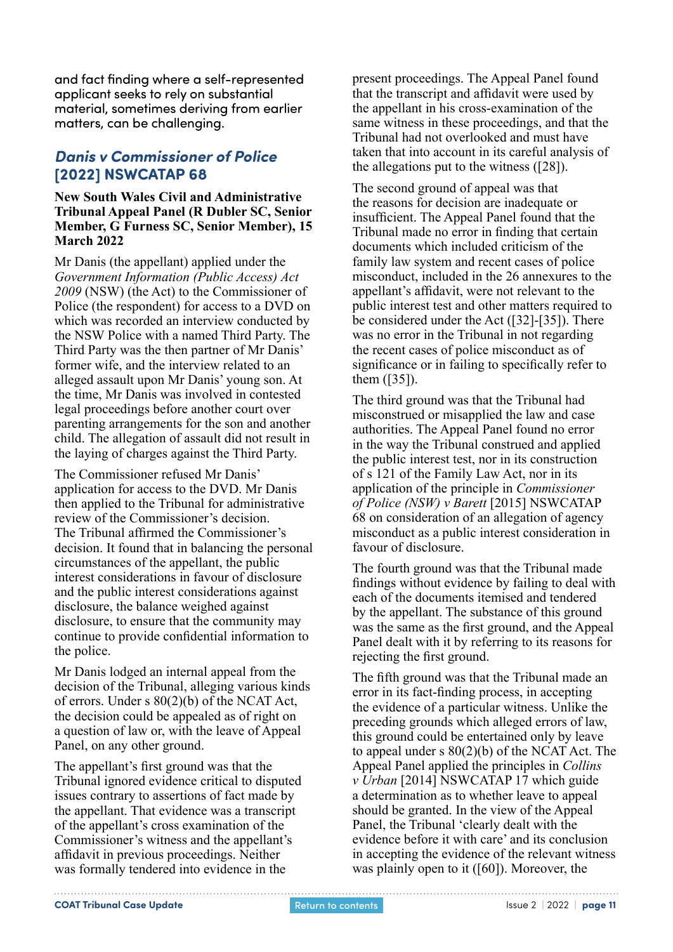<span id="page-10-0"></span>and fact finding where a self-represented applicant seeks to rely on substantial material, sometimes deriving from earlier matters, can be challenging.

### *Danis v Commissioner of Police* **[2022] NSWCATAP 68**

#### **New South Wales Civil and Administrative Tribunal Appeal Panel (R Dubler SC, Senior Member, G Furness SC, Senior Member), 15 March 2022**

Mr Danis (the appellant) applied under the *Government Information (Public Access) Act 2009* (NSW) (the Act) to the Commissioner of Police (the respondent) for access to a DVD on which was recorded an interview conducted by the NSW Police with a named Third Party. The Third Party was the then partner of Mr Danis' former wife, and the interview related to an alleged assault upon Mr Danis' young son. At the time, Mr Danis was involved in contested legal proceedings before another court over parenting arrangements for the son and another child. The allegation of assault did not result in the laying of charges against the Third Party.

The Commissioner refused Mr Danis' application for access to the DVD. Mr Danis then applied to the Tribunal for administrative review of the Commissioner's decision. The Tribunal affirmed the Commissioner's decision. It found that in balancing the personal circumstances of the appellant, the public interest considerations in favour of disclosure and the public interest considerations against disclosure, the balance weighed against disclosure, to ensure that the community may continue to provide confidential information to the police.

Mr Danis lodged an internal appeal from the decision of the Tribunal, alleging various kinds of errors. Under s 80(2)(b) of the NCAT Act, the decision could be appealed as of right on a question of law or, with the leave of Appeal Panel, on any other ground.

The appellant's first ground was that the Tribunal ignored evidence critical to disputed issues contrary to assertions of fact made by the appellant. That evidence was a transcript of the appellant's cross examination of the Commissioner's witness and the appellant's affidavit in previous proceedings. Neither was formally tendered into evidence in the

present proceedings. The Appeal Panel found that the transcript and affidavit were used by the appellant in his cross-examination of the same witness in these proceedings, and that the Tribunal had not overlooked and must have taken that into account in its careful analysis of the allegations put to the witness ([28]).

The second ground of appeal was that the reasons for decision are inadequate or insufficient. The Appeal Panel found that the Tribunal made no error in finding that certain documents which included criticism of the family law system and recent cases of police misconduct, included in the 26 annexures to the appellant's affidavit, were not relevant to the public interest test and other matters required to be considered under the Act ([32]-[35]). There was no error in the Tribunal in not regarding the recent cases of police misconduct as of significance or in failing to specifically refer to them ([35]).

The third ground was that the Tribunal had misconstrued or misapplied the law and case authorities. The Appeal Panel found no error in the way the Tribunal construed and applied the public interest test, nor in its construction of s 121 of the Family Law Act, nor in its application of the principle in *Commissioner of Police (NSW) v Barett* [2015] NSWCATAP 68 on consideration of an allegation of agency misconduct as a public interest consideration in favour of disclosure.

The fourth ground was that the Tribunal made findings without evidence by failing to deal with each of the documents itemised and tendered by the appellant. The substance of this ground was the same as the first ground, and the Appeal Panel dealt with it by referring to its reasons for rejecting the first ground.

The fifth ground was that the Tribunal made an error in its fact-finding process, in accepting the evidence of a particular witness. Unlike the preceding grounds which alleged errors of law, this ground could be entertained only by leave to appeal under s 80(2)(b) of the NCAT Act. The Appeal Panel applied the principles in *Collins v Urban* [2014] NSWCATAP 17 which guide a determination as to whether leave to appeal should be granted. In the view of the Appeal Panel, the Tribunal 'clearly dealt with the evidence before it with care' and its conclusion in accepting the evidence of the relevant witness was plainly open to it ([60]). Moreover, the

**COAT Tribunal Case Update Issue 2 | 2022 | page 11 Return to contents Integral 2022 | page 11** 

[Return to contents](#page-0-0)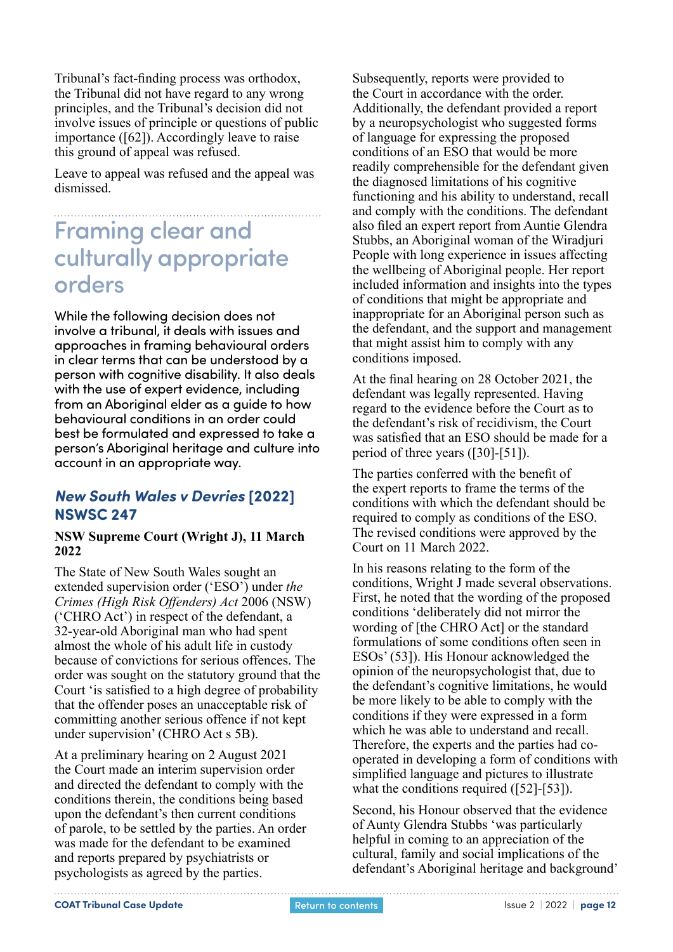<span id="page-11-0"></span>Tribunal's fact-finding process was orthodox, the Tribunal did not have regard to any wrong principles, and the Tribunal's decision did not involve issues of principle or questions of public importance ([62]). Accordingly leave to raise this ground of appeal was refused.

Leave to appeal was refused and the appeal was dismissed.

## Framing clear and culturally appropriate orders

While the following decision does not involve a tribunal, it deals with issues and approaches in framing behavioural orders in clear terms that can be understood by a person with cognitive disability. It also deals with the use of expert evidence, including from an Aboriginal elder as a quide to how behavioural conditions in an order could best be formulated and expressed to take a person's Aboriginal heritage and culture into account in an appropriate way.

### *New South Wales v Devries* **[2022] NSWSC 247**

#### **NSW Supreme Court (Wright J), 11 March 2022**

The State of New South Wales sought an extended supervision order ('ESO') under *the Crimes (High Risk Offenders) Act* 2006 (NSW) ('CHRO Act') in respect of the defendant, a 32-year-old Aboriginal man who had spent almost the whole of his adult life in custody because of convictions for serious offences. The order was sought on the statutory ground that the Court 'is satisfied to a high degree of probability that the offender poses an unacceptable risk of committing another serious offence if not kept under supervision' (CHRO Act s 5B).

At a preliminary hearing on 2 August 2021 the Court made an interim supervision order and directed the defendant to comply with the conditions therein, the conditions being based upon the defendant's then current conditions of parole, to be settled by the parties. An order was made for the defendant to be examined and reports prepared by psychiatrists or psychologists as agreed by the parties.

Subsequently, reports were provided to the Court in accordance with the order. Additionally, the defendant provided a report by a neuropsychologist who suggested forms of language for expressing the proposed conditions of an ESO that would be more readily comprehensible for the defendant given the diagnosed limitations of his cognitive functioning and his ability to understand, recall and comply with the conditions. The defendant also filed an expert report from Auntie Glendra Stubbs, an Aboriginal woman of the Wiradjuri People with long experience in issues affecting the wellbeing of Aboriginal people. Her report included information and insights into the types of conditions that might be appropriate and inappropriate for an Aboriginal person such as the defendant, and the support and management that might assist him to comply with any conditions imposed.

At the final hearing on 28 October 2021, the defendant was legally represented. Having regard to the evidence before the Court as to the defendant's risk of recidivism, the Court was satisfied that an ESO should be made for a period of three years ([30]-[51]).

The parties conferred with the benefit of the expert reports to frame the terms of the conditions with which the defendant should be required to comply as conditions of the ESO. The revised conditions were approved by the Court on 11 March 2022.

In his reasons relating to the form of the conditions, Wright J made several observations. First, he noted that the wording of the proposed conditions 'deliberately did not mirror the wording of [the CHRO Act] or the standard formulations of some conditions often seen in ESOs' (53]). His Honour acknowledged the opinion of the neuropsychologist that, due to the defendant's cognitive limitations, he would be more likely to be able to comply with the conditions if they were expressed in a form which he was able to understand and recall. Therefore, the experts and the parties had cooperated in developing a form of conditions with simplified language and pictures to illustrate what the conditions required ([52]-[53]).

Second, his Honour observed that the evidence of Aunty Glendra Stubbs 'was particularly helpful in coming to an appreciation of the cultural, family and social implications of the defendant's Aboriginal heritage and background'

. . . . . . . . . . . . . . . . . . .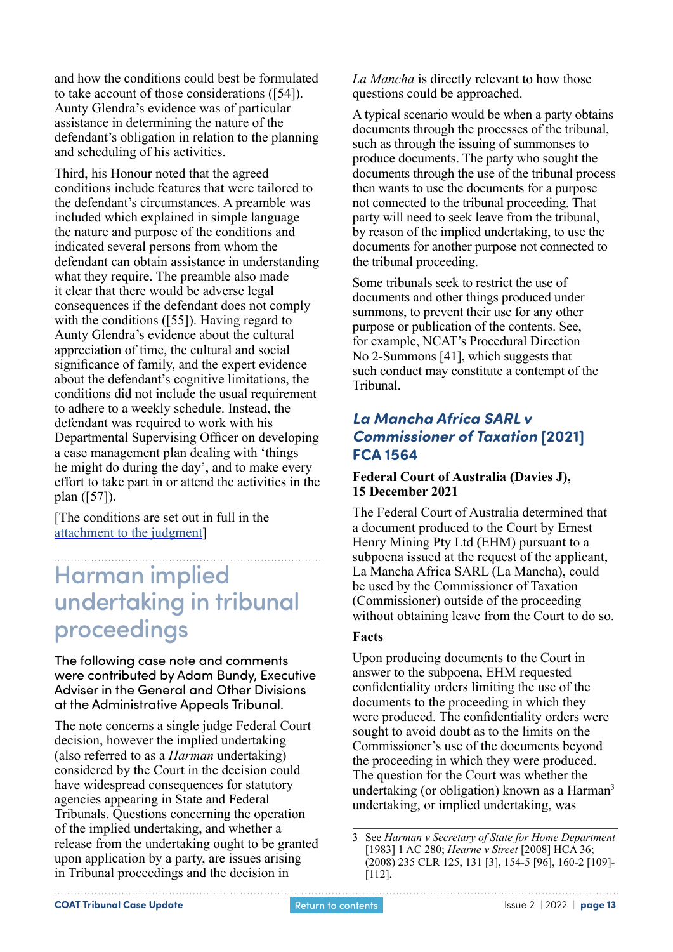<span id="page-12-0"></span>and how the conditions could best be formulated to take account of those considerations ([54]). Aunty Glendra's evidence was of particular assistance in determining the nature of the defendant's obligation in relation to the planning and scheduling of his activities.

Third, his Honour noted that the agreed conditions include features that were tailored to the defendant's circumstances. A preamble was included which explained in simple language the nature and purpose of the conditions and indicated several persons from whom the defendant can obtain assistance in understanding what they require. The preamble also made it clear that there would be adverse legal consequences if the defendant does not comply with the conditions ([55]). Having regard to Aunty Glendra's evidence about the cultural appreciation of time, the cultural and social significance of family, and the expert evidence about the defendant's cognitive limitations, the conditions did not include the usual requirement to adhere to a weekly schedule. Instead, the defendant was required to work with his Departmental Supervising Officer on developing a case management plan dealing with 'things he might do during the day', and to make every effort to take part in or attend the activities in the plan ([57]).

[The conditions are set out in full in the [attachment to the judgment](http://www.austlii.edu.au/cgi-bin/viewdoc/au/cases/nsw/NSWSC/2022/247.html)]

## Harman implied undertaking in tribunal proceedings

The following case note and comments were contributed by Adam Bundy, Executive Adviser in the General and Other Divisions at the Administrative Appeals Tribunal.

The note concerns a single judge Federal Court decision, however the implied undertaking (also referred to as a *Harman* undertaking) considered by the Court in the decision could have widespread consequences for statutory agencies appearing in State and Federal Tribunals. Questions concerning the operation of the implied undertaking, and whether a release from the undertaking ought to be granted upon application by a party, are issues arising in Tribunal proceedings and the decision in

*La Mancha* is directly relevant to how those questions could be approached.

A typical scenario would be when a party obtains documents through the processes of the tribunal, such as through the issuing of summonses to produce documents. The party who sought the documents through the use of the tribunal process then wants to use the documents for a purpose not connected to the tribunal proceeding. That party will need to seek leave from the tribunal, by reason of the implied undertaking, to use the documents for another purpose not connected to the tribunal proceeding.

Some tribunals seek to restrict the use of documents and other things produced under summons, to prevent their use for any other purpose or publication of the contents. See, for example, NCAT's Procedural Direction No 2-Summons [41], which suggests that such conduct may constitute a contempt of the Tribunal.

### *La Mancha Africa SARL v Commissioner of Taxation* **[2021] FCA 1564**

#### **Federal Court of Australia (Davies J), 15 December 2021**

The Federal Court of Australia determined that a document produced to the Court by Ernest Henry Mining Pty Ltd (EHM) pursuant to a subpoena issued at the request of the applicant, La Mancha Africa SARL (La Mancha), could be used by the Commissioner of Taxation (Commissioner) outside of the proceeding without obtaining leave from the Court to do so.

#### **Facts**

Upon producing documents to the Court in answer to the subpoena, EHM requested confidentiality orders limiting the use of the documents to the proceeding in which they were produced. The confidentiality orders were sought to avoid doubt as to the limits on the Commissioner's use of the documents beyond the proceeding in which they were produced. The question for the Court was whether the undertaking (or obligation) known as a Harman<sup>3</sup> undertaking, or implied undertaking, was

<sup>3</sup> See *Harman v Secretary of State for Home Department*  [1983] 1 AC 280; *Hearne v Street* [2008] HCA 36; (2008) 235 CLR 125, 131 [3], 154-5 [96], 160-2 [109]- [112].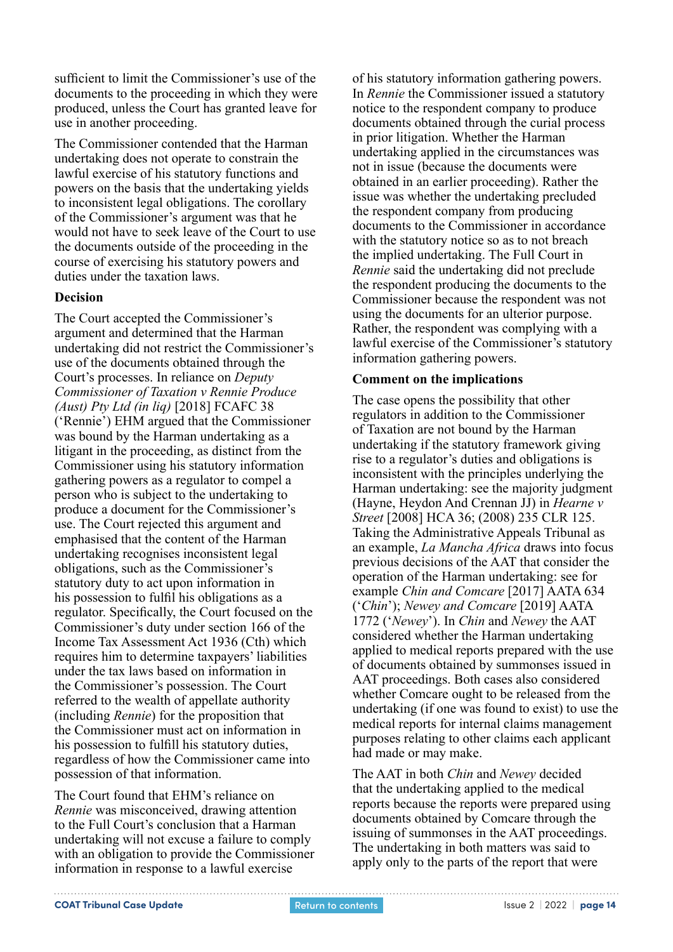sufficient to limit the Commissioner's use of the documents to the proceeding in which they were produced, unless the Court has granted leave for use in another proceeding.

The Commissioner contended that the Harman undertaking does not operate to constrain the lawful exercise of his statutory functions and powers on the basis that the undertaking yields to inconsistent legal obligations. The corollary of the Commissioner's argument was that he would not have to seek leave of the Court to use the documents outside of the proceeding in the course of exercising his statutory powers and duties under the taxation laws.

#### **Decision**

The Court accepted the Commissioner's argument and determined that the Harman undertaking did not restrict the Commissioner's use of the documents obtained through the Court's processes. In reliance on *Deputy Commissioner of Taxation v Rennie Produce (Aust) Pty Ltd (in liq)* [2018] FCAFC 38 ('Rennie') EHM argued that the Commissioner was bound by the Harman undertaking as a litigant in the proceeding, as distinct from the Commissioner using his statutory information gathering powers as a regulator to compel a person who is subject to the undertaking to produce a document for the Commissioner's use. The Court rejected this argument and emphasised that the content of the Harman undertaking recognises inconsistent legal obligations, such as the Commissioner's statutory duty to act upon information in his possession to fulfil his obligations as a regulator. Specifically, the Court focused on the Commissioner's duty under section 166 of the Income Tax Assessment Act 1936 (Cth) which requires him to determine taxpayers' liabilities under the tax laws based on information in the Commissioner's possession. The Court referred to the wealth of appellate authority (including *Rennie*) for the proposition that the Commissioner must act on information in his possession to fulfill his statutory duties, regardless of how the Commissioner came into possession of that information.

The Court found that EHM's reliance on *Rennie* was misconceived, drawing attention to the Full Court's conclusion that a Harman undertaking will not excuse a failure to comply with an obligation to provide the Commissioner information in response to a lawful exercise

of his statutory information gathering powers. In *Rennie* the Commissioner issued a statutory notice to the respondent company to produce documents obtained through the curial process in prior litigation. Whether the Harman undertaking applied in the circumstances was not in issue (because the documents were obtained in an earlier proceeding). Rather the issue was whether the undertaking precluded the respondent company from producing documents to the Commissioner in accordance with the statutory notice so as to not breach the implied undertaking. The Full Court in *Rennie* said the undertaking did not preclude the respondent producing the documents to the Commissioner because the respondent was not using the documents for an ulterior purpose. Rather, the respondent was complying with a lawful exercise of the Commissioner's statutory information gathering powers.

#### **Comment on the implications**

The case opens the possibility that other regulators in addition to the Commissioner of Taxation are not bound by the Harman undertaking if the statutory framework giving rise to a regulator's duties and obligations is inconsistent with the principles underlying the Harman undertaking: see the majority judgment (Hayne, Heydon And Crennan JJ) in *Hearne v Street* [2008] HCA 36; (2008) 235 CLR 125. Taking the Administrative Appeals Tribunal as an example, *La Mancha Africa* draws into focus previous decisions of the AAT that consider the operation of the Harman undertaking: see for example *Chin and Comcare* [2017] AATA 634 ('*Chin*'); *Newey and Comcare* [2019] AATA 1772 ('*Newey*'). In *Chin* and *Newey* the AAT considered whether the Harman undertaking applied to medical reports prepared with the use of documents obtained by summonses issued in AAT proceedings. Both cases also considered whether Comcare ought to be released from the undertaking (if one was found to exist) to use the medical reports for internal claims management purposes relating to other claims each applicant had made or may make.

The AAT in both *Chin* and *Newey* decided that the undertaking applied to the medical reports because the reports were prepared using documents obtained by Comcare through the issuing of summonses in the AAT proceedings. The undertaking in both matters was said to apply only to the parts of the report that were

. . . . . . . . . . . . . . . . . . . .